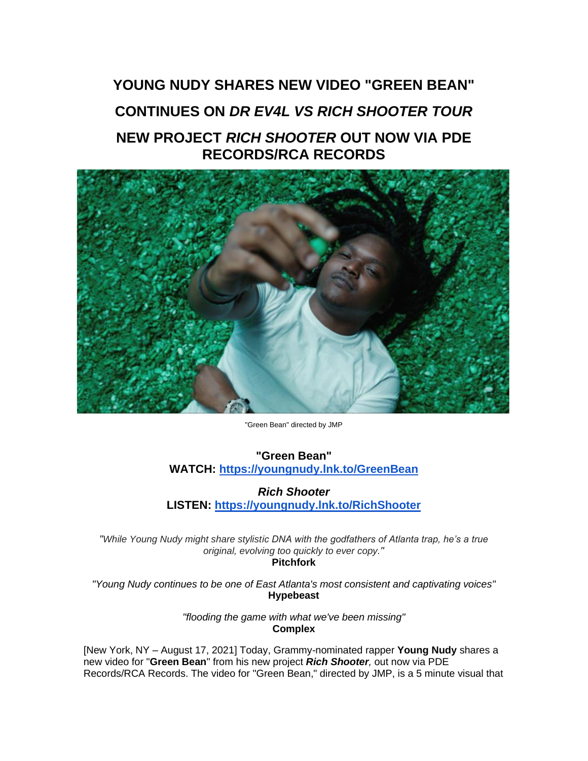## **YOUNG NUDY SHARES NEW VIDEO "GREEN BEAN" CONTINUES ON** *DR EV4L VS RICH SHOOTER TOUR* **NEW PROJECT** *RICH SHOOTER* **OUT NOW VIA PDE RECORDS/RCA RECORDS**



"Green Bean" directed by JMP

**"Green Bean" WATCH: [https://youngnudy.lnk.to/GreenBean](https://eur01.safelinks.protection.outlook.com/?url=https%3A%2F%2Fyoungnudy.lnk.to%2FGreenBean&data=04%7C01%7Cdanielle.gray.sme%40rcarecords.com%7C2709e823dc184eb8074108d961a938a8%7Cf0aff3b791a54aaeaf71c63e1dda2049%7C0%7C0%7C637648201716164000%7CUnknown%7CTWFpbGZsb3d8eyJWIjoiMC4wLjAwMDAiLCJQIjoiV2luMzIiLCJBTiI6Ik1haWwiLCJXVCI6Mn0%3D%7C1000&sdata=KxM8PJxximvmb3WRbu%2F1M5WBPjVOepYoe2ndcbbJ08Y%3D&reserved=0)**

*Rich Shooter* **LISTEN: [https://youngnudy.lnk.to/RichShooter](https://eur01.safelinks.protection.outlook.com/?url=https%3A%2F%2Fyoungnudy.lnk.to%2FRichShooter&data=04%7C01%7Cdanielle.gray.sme%40rcarecords.com%7C2709e823dc184eb8074108d961a938a8%7Cf0aff3b791a54aaeaf71c63e1dda2049%7C0%7C0%7C637648201716174002%7CUnknown%7CTWFpbGZsb3d8eyJWIjoiMC4wLjAwMDAiLCJQIjoiV2luMzIiLCJBTiI6Ik1haWwiLCJXVCI6Mn0%3D%7C1000&sdata=mWYf5AflvfaVu2tOe8GEgyPOnh7tDNfnyplMsnmznAo%3D&reserved=0)**

*"While Young Nudy might share stylistic DNA with the godfathers of Atlanta trap, he's a true original, evolving too quickly to ever copy."* **Pitchfork**

*"Young Nudy continues to be one of East Atlanta's most consistent and captivating voices"* **Hypebeast**

> *"flooding the game with what we've been missing"* **Complex**

[New York, NY – August 17, 2021] Today, Grammy-nominated rapper **Young Nudy** shares a new video for "**Green Bean**" from his new project *Rich Shooter,* out now via PDE Records/RCA Records. The video for "Green Bean," directed by JMP, is a 5 minute visual that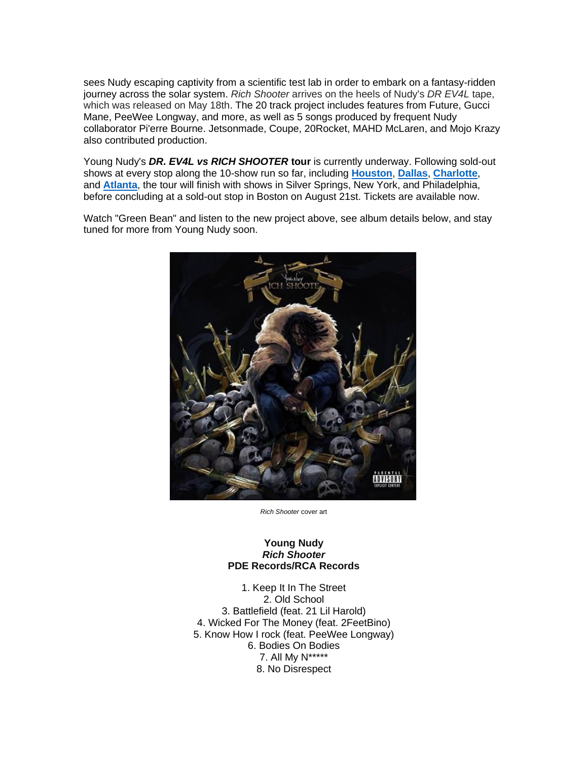sees Nudy escaping captivity from a scientific test lab in order to embark on a fantasy-ridden journey across the solar system. *Rich Shooter* arrives on the heels of Nudy's *DR EV4L* tape, which was released on May 18th. The 20 track project includes features from Future, Gucci Mane, PeeWee Longway, and more, as well as 5 songs produced by frequent Nudy collaborator Pi'erre Bourne. Jetsonmade, Coupe, 20Rocket, MAHD McLaren, and Mojo Krazy also contributed production.

Young Nudy's *DR. EV4L vs RICH SHOOTER* **tour** is currently underway. Following sold-out shows at every stop along the 10-show run so far, including **[Houston](https://eur01.safelinks.protection.outlook.com/?url=https%3A%2F%2Fwww.instagram.com%2Fp%2FCSR1XY3FnNC&data=04%7C01%7Cdanielle.gray.sme%40rcarecords.com%7C2709e823dc184eb8074108d961a938a8%7Cf0aff3b791a54aaeaf71c63e1dda2049%7C0%7C0%7C637648201716174002%7CUnknown%7CTWFpbGZsb3d8eyJWIjoiMC4wLjAwMDAiLCJQIjoiV2luMzIiLCJBTiI6Ik1haWwiLCJXVCI6Mn0%3D%7C1000&sdata=vdiv3DnTeA908uifhURhGbajvLPoc%2BQ1ZYwYrF8tTDc%3D&reserved=0)**, **[Dallas](https://eur01.safelinks.protection.outlook.com/?url=https%3A%2F%2Fwww.instagram.com%2Fp%2FCSWnW_XFUOn&data=04%7C01%7Cdanielle.gray.sme%40rcarecords.com%7C2709e823dc184eb8074108d961a938a8%7Cf0aff3b791a54aaeaf71c63e1dda2049%7C0%7C0%7C637648201716183995%7CUnknown%7CTWFpbGZsb3d8eyJWIjoiMC4wLjAwMDAiLCJQIjoiV2luMzIiLCJBTiI6Ik1haWwiLCJXVCI6Mn0%3D%7C1000&sdata=TenfYcSlDevj71Ky0qdM5gcoXdUlRjaso7LnU6OhTGo%3D&reserved=0)**, **[Charlotte](https://eur01.safelinks.protection.outlook.com/?url=https%3A%2F%2Fwww.instagram.com%2Fp%2FCSfWfUyBoEv&data=04%7C01%7Cdanielle.gray.sme%40rcarecords.com%7C2709e823dc184eb8074108d961a938a8%7Cf0aff3b791a54aaeaf71c63e1dda2049%7C0%7C0%7C637648201716183995%7CUnknown%7CTWFpbGZsb3d8eyJWIjoiMC4wLjAwMDAiLCJQIjoiV2luMzIiLCJBTiI6Ik1haWwiLCJXVCI6Mn0%3D%7C1000&sdata=LBMjaBmS3zSeId%2F71z52UaXiNFJCxvB7bJZj7umJv4c%3D&reserved=0)**, and **[Atlanta](https://eur01.safelinks.protection.outlook.com/?url=https%3A%2F%2Fwww.instagram.com%2Fp%2FCSkozIBlgI1&data=04%7C01%7Cdanielle.gray.sme%40rcarecords.com%7C2709e823dc184eb8074108d961a938a8%7Cf0aff3b791a54aaeaf71c63e1dda2049%7C0%7C0%7C637648201716193981%7CUnknown%7CTWFpbGZsb3d8eyJWIjoiMC4wLjAwMDAiLCJQIjoiV2luMzIiLCJBTiI6Ik1haWwiLCJXVCI6Mn0%3D%7C1000&sdata=IOyIFACqCGJ0Nd6RnFagE2mkW2SWXsSnmvjBtcmCH7c%3D&reserved=0)**, the tour will finish with shows in Silver Springs, New York, and Philadelphia, before concluding at a sold-out stop in Boston on August 21st. Tickets are available now.

Watch "Green Bean" and listen to the new project above, see album details below, and stay tuned for more from Young Nudy soon.



*Rich Shooter* cover art

## **Young Nudy** *Rich Shooter* **PDE Records/RCA Records**

1. Keep It In The Street 2. Old School 3. Battlefield (feat. 21 Lil Harold) 4. Wicked For The Money (feat. 2FeetBino) 5. Know How I rock (feat. PeeWee Longway) 6. Bodies On Bodies 7. All My N\*\*\*\*\* 8. No Disrespect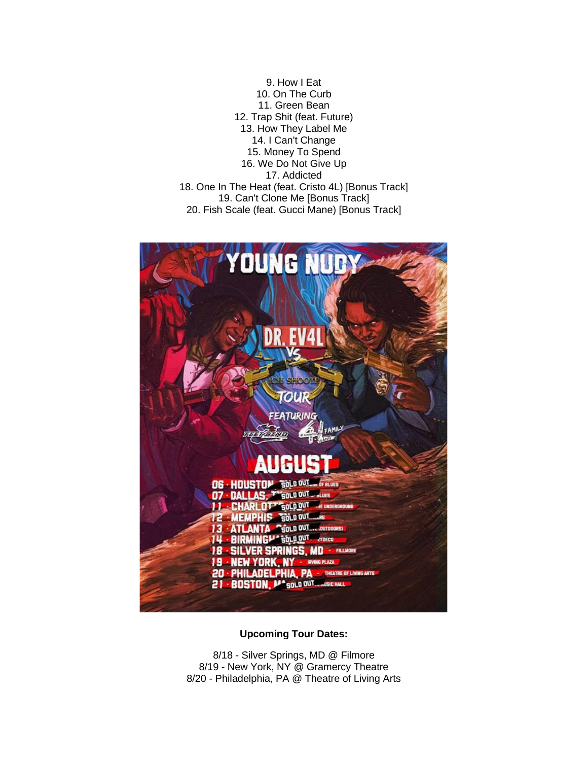9. How I Eat 10. On The Curb 11. Green Bean 12. Trap Shit (feat. Future) 13. How They Label Me 14. I Can't Change 15. Money To Spend 16. We Do Not Give Up 17. Addicted 18. One In The Heat (feat. Cristo 4L) [Bonus Track] 19. Can't Clone Me [Bonus Track] 20. Fish Scale (feat. Gucci Mane) [Bonus Track]



**Upcoming Tour Dates:**

8/18 - Silver Springs, MD @ Filmore 8/19 - New York, NY @ Gramercy Theatre 8/20 - Philadelphia, PA @ Theatre of Living Arts